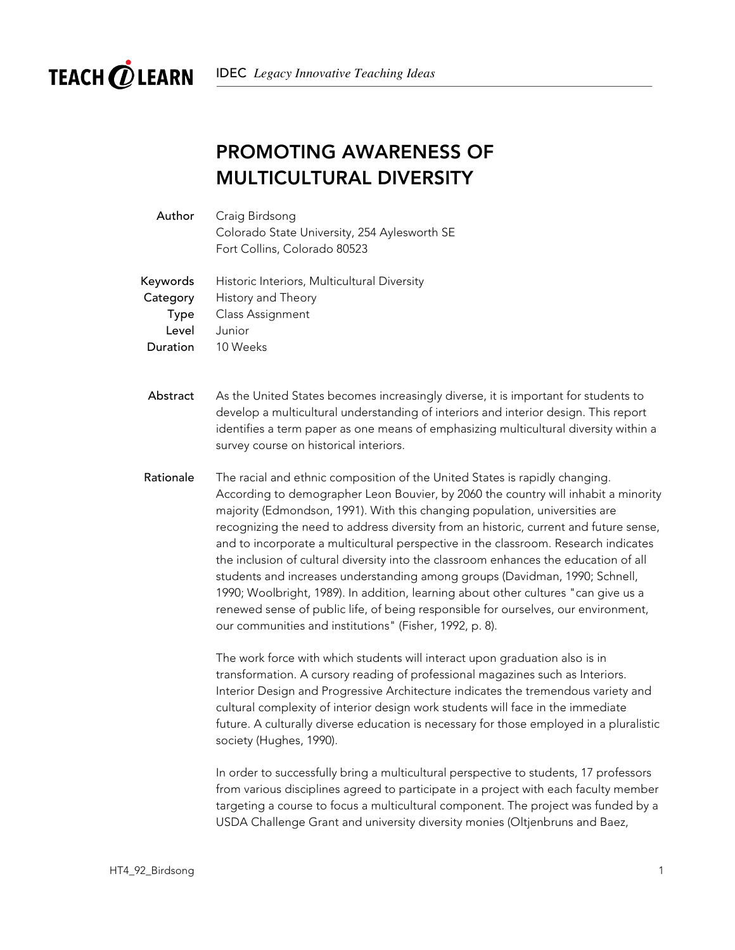

## PROMOTING AWARENESS OF MULTICULTURAL DIVERSITY

| Author | Craig Birdsong                               |
|--------|----------------------------------------------|
|        | Colorado State University, 254 Aylesworth SE |
|        | Fort Collins, Colorado 80523                 |

Keywords Historic Interiors, Multicultural Diversity Category History and Theory Type Class Assignment Level Junior Duration 10 Weeks

- Abstract As the United States becomes increasingly diverse, it is important for students to develop a multicultural understanding of interiors and interior design. This report identifies a term paper as one means of emphasizing multicultural diversity within a survey course on historical interiors.
- Rationale The racial and ethnic composition of the United States is rapidly changing. According to demographer Leon Bouvier, by 2060 the country will inhabit a minority majority (Edmondson, 1991). With this changing population, universities are recognizing the need to address diversity from an historic, current and future sense, and to incorporate a multicultural perspective in the classroom. Research indicates the inclusion of cultural diversity into the classroom enhances the education of all students and increases understanding among groups (Davidman, 1990; Schnell, 1990; Woolbright, 1989). In addition, learning about other cultures "can give us a renewed sense of public life, of being responsible for ourselves, our environment, our communities and institutions" (Fisher, 1992, p. 8).

The work force with which students will interact upon graduation also is in transformation. A cursory reading of professional magazines such as Interiors. Interior Design and Progressive Architecture indicates the tremendous variety and cultural complexity of interior design work students will face in the immediate future. A culturally diverse education is necessary for those employed in a pluralistic society (Hughes, 1990).

In order to successfully bring a multicultural perspective to students, 17 professors from various disciplines agreed to participate in a project with each faculty member targeting a course to focus a multicultural component. The project was funded by a USDA Challenge Grant and university diversity monies (Oltjenbruns and Baez,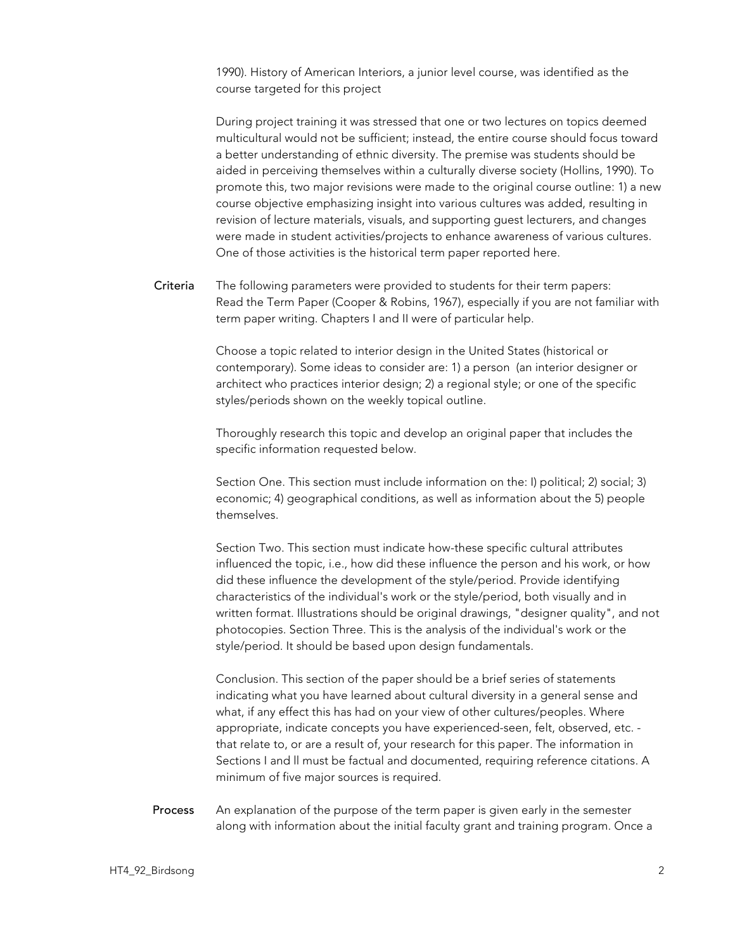1990). History of American Interiors, a junior level course, was identified as the course targeted for this project

During project training it was stressed that one or two lectures on topics deemed multicultural would not be sufficient; instead, the entire course should focus toward a better understanding of ethnic diversity. The premise was students should be aided in perceiving themselves within a culturally diverse society (Hollins, 1990). To promote this, two major revisions were made to the original course outline: 1) a new course objective emphasizing insight into various cultures was added, resulting in revision of lecture materials, visuals, and supporting guest lecturers, and changes were made in student activities/projects to enhance awareness of various cultures. One of those activities is the historical term paper reported here.

Criteria The following parameters were provided to students for their term papers: Read the Term Paper (Cooper & Robins, 1967), especially if you are not familiar with term paper writing. Chapters I and II were of particular help.

> Choose a topic related to interior design in the United States (historical or contemporary). Some ideas to consider are: 1) a person (an interior designer or architect who practices interior design; 2) a regional style; or one of the specific styles/periods shown on the weekly topical outline.

Thoroughly research this topic and develop an original paper that includes the specific information requested below.

Section One. This section must include information on the: I) political; 2) social; 3) economic; 4) geographical conditions, as well as information about the 5) people themselves.

Section Two. This section must indicate how-these specific cultural attributes influenced the topic, i.e., how did these influence the person and his work, or how did these influence the development of the style/period. Provide identifying characteristics of the individual's work or the style/period, both visually and in written format. Illustrations should be original drawings, "designer quality", and not photocopies. Section Three. This is the analysis of the individual's work or the style/period. It should be based upon design fundamentals.

Conclusion. This section of the paper should be a brief series of statements indicating what you have learned about cultural diversity in a general sense and what, if any effect this has had on your view of other cultures/peoples. Where appropriate, indicate concepts you have experienced-seen, felt, observed, etc. that relate to, or are a result of, your research for this paper. The information in Sections I and ll must be factual and documented, requiring reference citations. A minimum of five major sources is required.

Process An explanation of the purpose of the term paper is given early in the semester along with information about the initial faculty grant and training program. Once a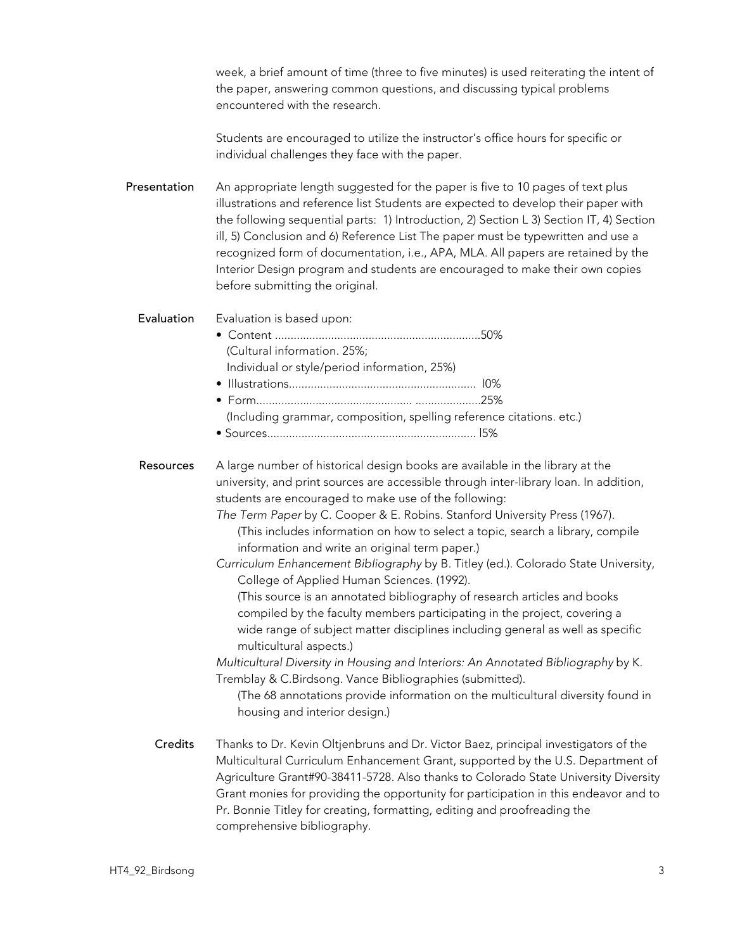week, a brief amount of time (three to five minutes) is used reiterating the intent of the paper, answering common questions, and discussing typical problems encountered with the research.

Students are encouraged to utilize the instructor's office hours for specific or individual challenges they face with the paper.

Presentation An appropriate length suggested for the paper is five to 10 pages of text plus illustrations and reference list Students are expected to develop their paper with the following sequential parts: 1) Introduction, 2) Section L 3) Section IT, 4) Section ill, 5) Conclusion and 6) Reference List The paper must be typewritten and use a recognized form of documentation, i.e., APA, MLA. All papers are retained by the Interior Design program and students are encouraged to make their own copies before submitting the original.

Evaluation Evaluation is based upon:

- Content ..................................................................50% (Cultural information. 25%; Individual or style/period information, 25%) • Illustrations............................................................ l0%
- Form.................................................. .....................25% (Including grammar, composition, spelling reference citations. etc.)
- Sources................................................................... l5%

Resources A large number of historical design books are available in the library at the university, and print sources are accessible through inter-library loan. In addition, students are encouraged to make use of the following:

> *The Term Paper* by C. Cooper & E. Robins. Stanford University Press (1967). (This includes information on how to select a topic, search a library, compile information and write an original term paper.)

*Curriculum Enhancement Bibliography* by B. Titley (ed.). Colorado State University, College of Applied Human Sciences. (1992).

(This source is an annotated bibliography of research articles and books compiled by the faculty members participating in the project, covering a wide range of subject matter disciplines including general as well as specific multicultural aspects.)

*Multicultural Diversity in Housing and Interiors: An Annotated Bibliography* by K. Tremblay & C.Birdsong. Vance Bibliographies (submitted).

(The 68 annotations provide information on the multicultural diversity found in housing and interior design.)

Credits Thanks to Dr. Kevin Oltjenbruns and Dr. Victor Baez, principal investigators of the Multicultural Curriculum Enhancement Grant, supported by the U.S. Department of Agriculture Grant#90-38411-5728. Also thanks to Colorado State University Diversity Grant monies for providing the opportunity for participation in this endeavor and to Pr. Bonnie Titley for creating, formatting, editing and proofreading the comprehensive bibliography.